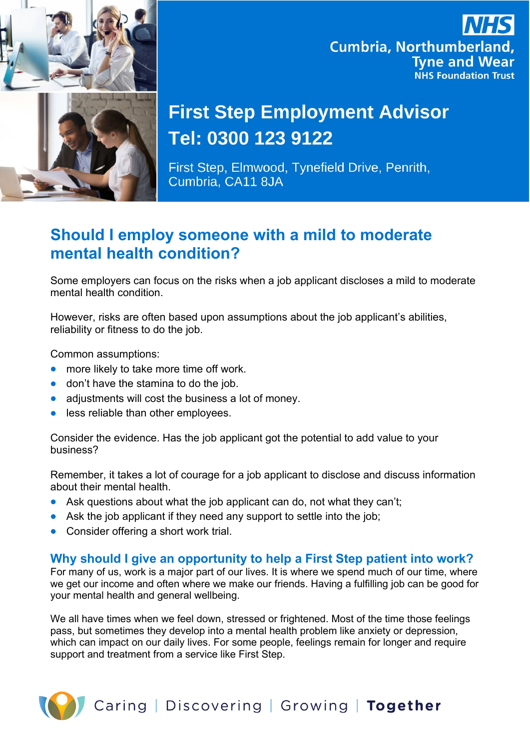

## **Cumbria, Northumberland, Tyne and Wear NHS Foundation Trust**

# **First Step Employment Advisor** Tel: 0300 123 9122

First Step, Elmwood, Tynefield Drive, Penrith, Cumbria, CA11 8JA

### **Should I employ someone with a mild to moderate mental health condition?**

Some employers can focus on the risks when a job applicant discloses a mild to moderate mental health condition.

However, risks are often based upon assumptions about the job applicant's abilities, reliability or fitness to do the job.

Common assumptions:

- more likely to take more time off work.
- don't have the stamina to do the job.
- adjustments will cost the business a lot of money.
- less reliable than other employees.

Consider the evidence. Has the job applicant got the potential to add value to your business?

Remember, it takes a lot of courage for a job applicant to disclose and discuss information about their mental health.

- Ask questions about what the job applicant can do, not what they can't;
- Ask the job applicant if they need any support to settle into the job;
- Consider offering a short work trial.

#### **Why should I give an opportunity to help a First Step patient into work?**

For many of us, work is a major part of our lives. It is where we spend much of our time, where we get our income and often where we make our friends. Having a fulfilling job can be good for your mental health and general wellbeing.

We all have times when we feel down, stressed or frightened. Most of the time those feelings pass, but sometimes they develop into a mental health problem like anxiety or depression, which can impact on our daily lives. For some people, feelings remain for longer and require support and treatment from a service like First Step.